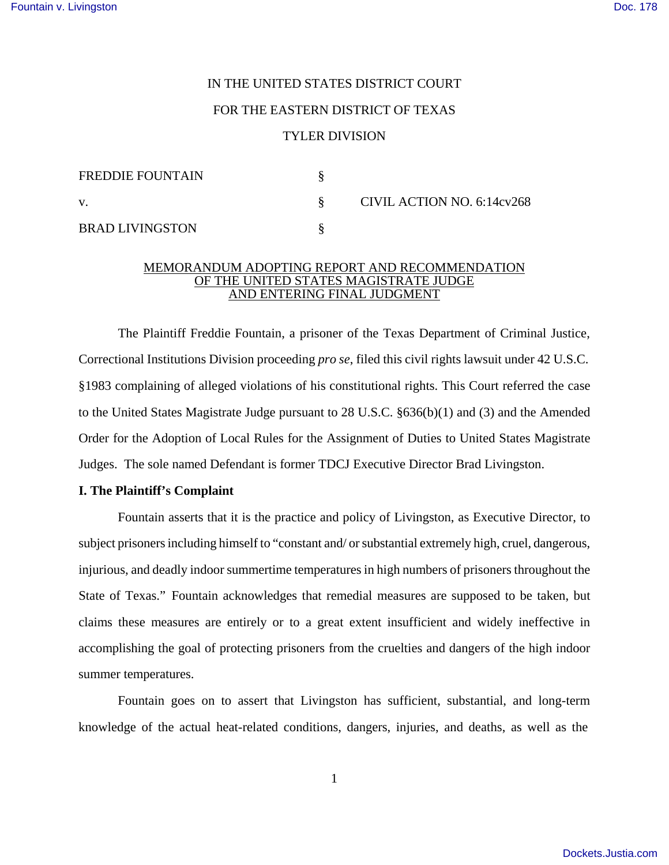# IN THE UNITED STATES DISTRICT COURT FOR THE EASTERN DISTRICT OF TEXAS TYLER DIVISION

| <b>FREDDIE FOUNTAIN</b> |                            |
|-------------------------|----------------------------|
| V.                      | CIVIL ACTION NO. 6:14cv268 |
| <b>BRAD LIVINGSTON</b>  |                            |

### MEMORANDUM ADOPTING REPORT AND RECOMMENDATION OF THE UNITED STATES MAGISTRATE JUDGE AND ENTERING FINAL JUDGMENT

The Plaintiff Freddie Fountain, a prisoner of the Texas Department of Criminal Justice, Correctional Institutions Division proceeding *pro se*, filed this civil rights lawsuit under 42 U.S.C. §1983 complaining of alleged violations of his constitutional rights. This Court referred the case to the United States Magistrate Judge pursuant to 28 U.S.C. §636(b)(1) and (3) and the Amended Order for the Adoption of Local Rules for the Assignment of Duties to United States Magistrate Judges. The sole named Defendant is former TDCJ Executive Director Brad Livingston.

## **I. The Plaintiff's Complaint**

Fountain asserts that it is the practice and policy of Livingston, as Executive Director, to subject prisoners including himself to "constant and/ or substantial extremely high, cruel, dangerous, injurious, and deadly indoor summertime temperatures in high numbers of prisoners throughout the State of Texas." Fountain acknowledges that remedial measures are supposed to be taken, but claims these measures are entirely or to a great extent insufficient and widely ineffective in accomplishing the goal of protecting prisoners from the cruelties and dangers of the high indoor summer temperatures.

Fountain goes on to assert that Livingston has sufficient, substantial, and long-term knowledge of the actual heat-related conditions, dangers, injuries, and deaths, as well as the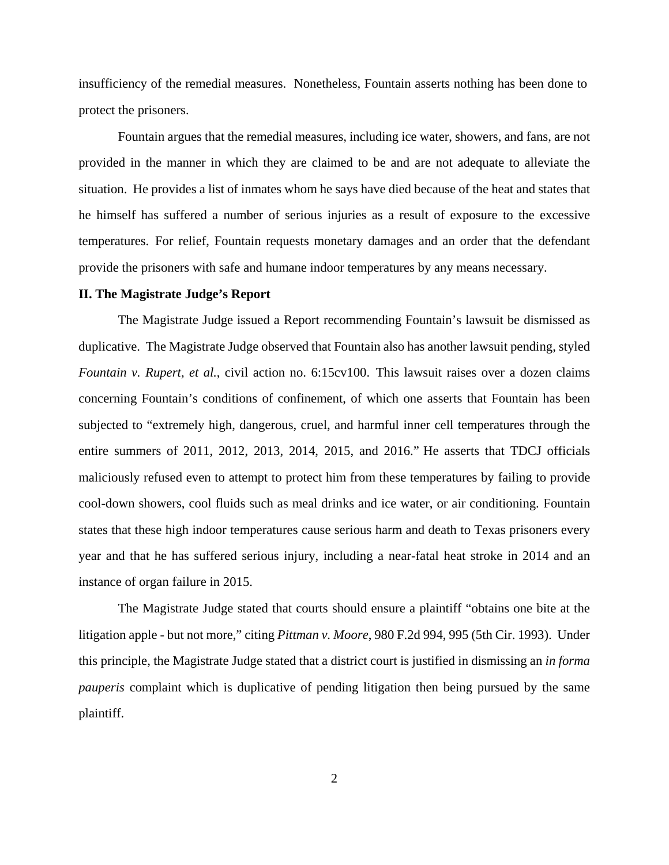insufficiency of the remedial measures. Nonetheless, Fountain asserts nothing has been done to protect the prisoners.

Fountain argues that the remedial measures, including ice water, showers, and fans, are not provided in the manner in which they are claimed to be and are not adequate to alleviate the situation. He provides a list of inmates whom he says have died because of the heat and states that he himself has suffered a number of serious injuries as a result of exposure to the excessive temperatures. For relief, Fountain requests monetary damages and an order that the defendant provide the prisoners with safe and humane indoor temperatures by any means necessary.

### **II. The Magistrate Judge's Report**

The Magistrate Judge issued a Report recommending Fountain's lawsuit be dismissed as duplicative. The Magistrate Judge observed that Fountain also has another lawsuit pending, styled *Fountain v. Rupert, et al.*, civil action no. 6:15cv100. This lawsuit raises over a dozen claims concerning Fountain's conditions of confinement, of which one asserts that Fountain has been subjected to "extremely high, dangerous, cruel, and harmful inner cell temperatures through the entire summers of 2011, 2012, 2013, 2014, 2015, and 2016." He asserts that TDCJ officials maliciously refused even to attempt to protect him from these temperatures by failing to provide cool-down showers, cool fluids such as meal drinks and ice water, or air conditioning. Fountain states that these high indoor temperatures cause serious harm and death to Texas prisoners every year and that he has suffered serious injury, including a near-fatal heat stroke in 2014 and an instance of organ failure in 2015.

The Magistrate Judge stated that courts should ensure a plaintiff "obtains one bite at the litigation apple - but not more," citing *Pittman v. Moore*, 980 F.2d 994, 995 (5th Cir. 1993). Under this principle, the Magistrate Judge stated that a district court is justified in dismissing an *in forma pauperis* complaint which is duplicative of pending litigation then being pursued by the same plaintiff.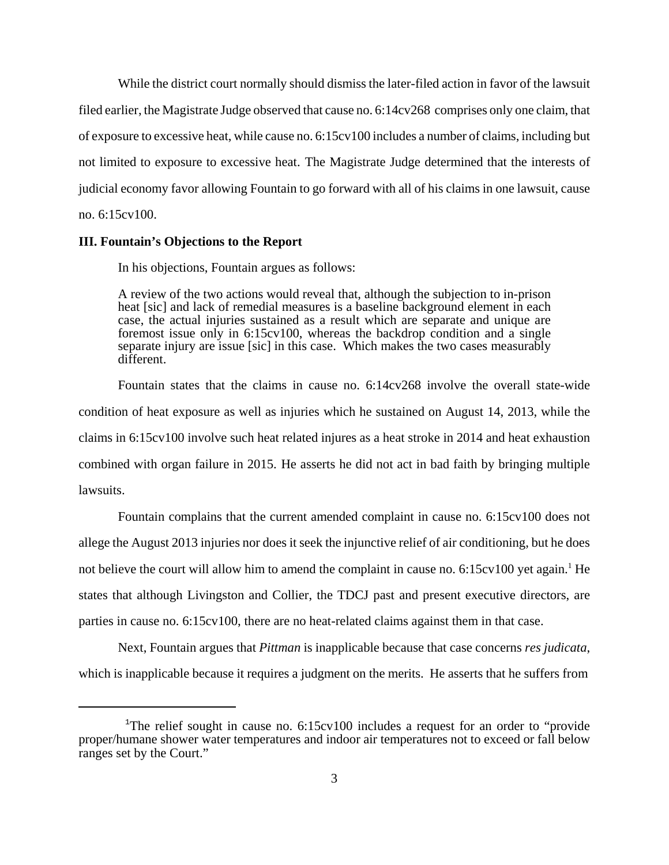While the district court normally should dismiss the later-filed action in favor of the lawsuit filed earlier, the Magistrate Judge observed that cause no. 6:14cv268 comprises only one claim, that of exposure to excessive heat, while cause no. 6:15cv100 includes a number of claims, including but not limited to exposure to excessive heat. The Magistrate Judge determined that the interests of judicial economy favor allowing Fountain to go forward with all of his claims in one lawsuit, cause no. 6:15cv100.

#### **III. Fountain's Objections to the Report**

In his objections, Fountain argues as follows:

A review of the two actions would reveal that, although the subjection to in-prison heat [sic] and lack of remedial measures is a baseline background element in each case, the actual injuries sustained as a result which are separate and unique are foremost issue only in 6:15cv100, whereas the backdrop condition and a single separate injury are issue [sic] in this case. Which makes the two cases measurably different.

Fountain states that the claims in cause no. 6:14cv268 involve the overall state-wide condition of heat exposure as well as injuries which he sustained on August 14, 2013, while the claims in 6:15cv100 involve such heat related injures as a heat stroke in 2014 and heat exhaustion combined with organ failure in 2015. He asserts he did not act in bad faith by bringing multiple lawsuits.

Fountain complains that the current amended complaint in cause no. 6:15cv100 does not allege the August 2013 injuries nor does it seek the injunctive relief of air conditioning, but he does not believe the court will allow him to amend the complaint in cause no.  $6:15cv100$  yet again.<sup>1</sup> He states that although Livingston and Collier, the TDCJ past and present executive directors, are parties in cause no. 6:15cv100, there are no heat-related claims against them in that case.

Next, Fountain argues that *Pittman* is inapplicable because that case concerns *res judicata*, which is inapplicable because it requires a judgment on the merits. He asserts that he suffers from

<sup>&</sup>lt;sup>1</sup>The relief sought in cause no. 6:15cv100 includes a request for an order to "provide" proper/humane shower water temperatures and indoor air temperatures not to exceed or fall below ranges set by the Court."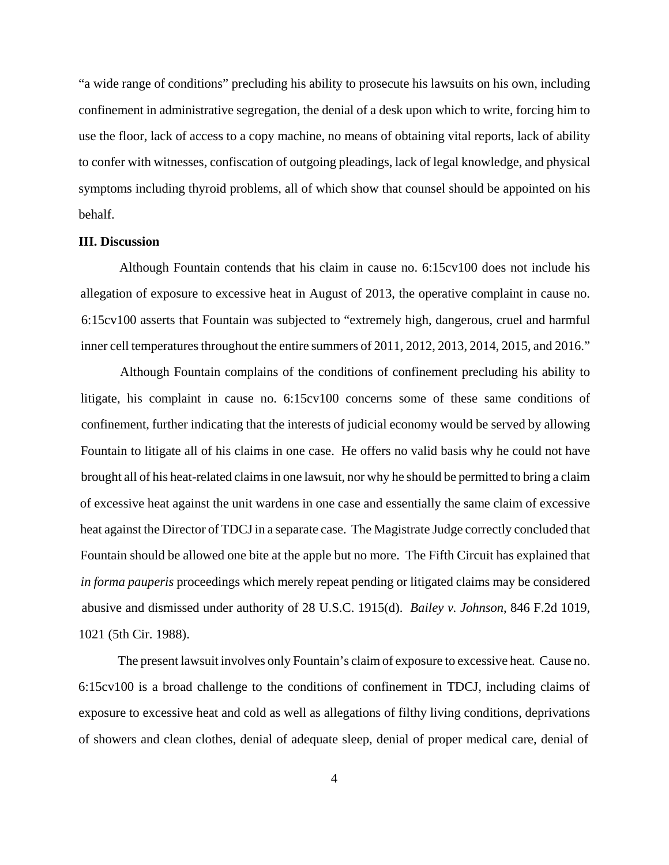"a wide range of conditions" precluding his ability to prosecute his lawsuits on his own, including confinement in administrative segregation, the denial of a desk upon which to write, forcing him to use the floor, lack of access to a copy machine, no means of obtaining vital reports, lack of ability to confer with witnesses, confiscation of outgoing pleadings, lack of legal knowledge, and physical symptoms including thyroid problems, all of which show that counsel should be appointed on his behalf.

#### **III. Discussion**

Although Fountain contends that his claim in cause no. 6:15cv100 does not include his allegation of exposure to excessive heat in August of 2013, the operative complaint in cause no. 6:15cv100 asserts that Fountain was subjected to "extremely high, dangerous, cruel and harmful inner cell temperatures throughout the entire summers of 2011, 2012, 2013, 2014, 2015, and 2016."

Although Fountain complains of the conditions of confinement precluding his ability to litigate, his complaint in cause no. 6:15cv100 concerns some of these same conditions of confinement, further indicating that the interests of judicial economy would be served by allowing Fountain to litigate all of his claims in one case. He offers no valid basis why he could not have brought all of his heat-related claimsin one lawsuit, nor why he should be permitted to bring a claim of excessive heat against the unit wardens in one case and essentially the same claim of excessive heat against the Director of TDCJ in a separate case. The Magistrate Judge correctly concluded that Fountain should be allowed one bite at the apple but no more. The Fifth Circuit has explained that *in forma pauperis* proceedings which merely repeat pending or litigated claims may be considered abusive and dismissed under authority of 28 U.S.C. 1915(d). *Bailey v. Johnson*, 846 F.2d 1019, 1021 (5th Cir. 1988).

The present lawsuit involves only Fountain's claim of exposure to excessive heat. Cause no. 6:15cv100 is a broad challenge to the conditions of confinement in TDCJ, including claims of exposure to excessive heat and cold as well as allegations of filthy living conditions, deprivations of showers and clean clothes, denial of adequate sleep, denial of proper medical care, denial of